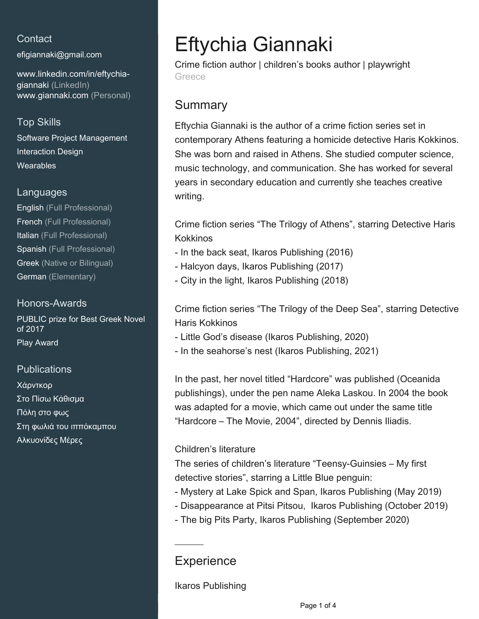## **Contact**

[efigiannaki@gmail.com](mailto:efigiannaki@gmail.com)

[www.linkedin.com/in/eftychia](https://www.linkedin.com/in/eftychia-giannaki?jobid=1234&lipi=urn%3Ali%3Apage%3Ad_jobs_easyapply_pdfgenresume%3BtR6S5DK9TpyVnBrDtqrYSA%3D%3D&licu=urn%3Ali%3Acontrol%3Ad_jobs_easyapply_pdfgenresume-v02_profile)[giannaki \(LinkedIn\)](https://www.linkedin.com/in/eftychia-giannaki?jobid=1234&lipi=urn%3Ali%3Apage%3Ad_jobs_easyapply_pdfgenresume%3BtR6S5DK9TpyVnBrDtqrYSA%3D%3D&licu=urn%3Ali%3Acontrol%3Ad_jobs_easyapply_pdfgenresume-v02_profile) [www.giannaki.com \(Personal\)](http://www.giannaki.com)

## Top Skills

Software Project Management Interaction Design **Wearables** 

#### Languages

English (Full Professional) French (Full Professional) Italian (Full Professional) Spanish (Full Professional) Greek (Native or Bilingual) German (Elementary)

### Honors-Awards

PUBLIC prize for Best Greek Novel of 2017 Play Award

## **Publications**

Χάρντκορ Στο Πίσω Κάθισμα Πόλη στο φως Στη φωλιά του ιππόκαμπου Αλκυονίδες Μέρες

# Eftychia Giannaki

Crime fiction author | children's books author | playwright Greece

# **Summary**

Eftychia Giannaki is the author of a crime fiction series set in contemporary Athens featuring a homicide detective Haris Kokkinos. She was born and raised in Athens. She studied computer science, music technology, and communication. She has worked for several years in secondary education and currently she teaches creative writing.

Crime fiction series "The Trilogy of Athens", starring Detective Haris Kokkinos

- In the back seat, Ikaros Publishing (2016)
- Halcyon days, Ikaros Publishing (2017)
- City in the light, Ikaros Publishing (2018)

Crime fiction series "The Trilogy of the Deep Sea", starring Detective Haris Kokkinos

- Little God's disease (Ikaros Publishing, 2020)
- In the seahorse's nest (Ikaros Publishing, 2021)

In the past, her novel titled "Hardcore" was published (Oceanida publishings), under the pen name Aleka Laskou. In 2004 the book was adapted for a movie, which came out under the same title "Hardcore – The Movie, 2004", directed by Dennis Iliadis.

#### Children's literature

The series of children's literature "Teensy-Guinsies – My first detective stories", starring a Little Blue penguin:

- Mystery at Lake Spick and Span, Ikaros Publishing (May 2019)
- Disappearance at Pitsi Pitsou, Ikaros Publishing (October 2019)
- The big Pits Party, Ikaros Publishing (September 2020)

## **Experience**

Ikaros Publishing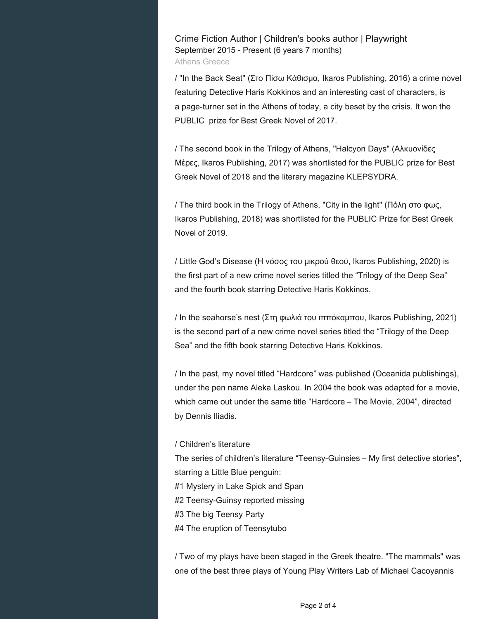Crime Fiction Author | Children's books author | Playwright September 2015 - Present (6 years 7 months) Athens Greece

/ "In the Back Seat" (Στο Πίσω Κάθισμα, Ikaros Publishing, 2016) a crime novel featuring Detective Haris Kokkinos and an interesting cast of characters, is a page-turner set in the Athens of today, a city beset by the crisis. It won the PUBLIC prize for Best Greek Novel of 2017.

/ The second book in the Trilogy of Athens, "Halcyon Days" (Αλκυονίδες Μέρες, Ikaros Publishing, 2017) was shortlisted for the PUBLIC prize for Best Greek Novel of 2018 and the literary magazine KLEPSYDRA.

/ The third book in the Trilogy of Athens, "City in the light" (Πόλη στο φως, Ikaros Publishing, 2018) was shortlisted for the PUBLIC Prize for Best Greek Novel of 2019.

/ Little God's Disease (Η νόσος του μικρού θεού, Ikaros Publishing, 2020) is the first part of a new crime novel series titled the "Trilogy of the Deep Sea" and the fourth book starring Detective Haris Kokkinos.

/ In the seahorse's nest (Στη φωλιά του ιππόκαμπου, Ikaros Publishing, 2021) is the second part of a new crime novel series titled the "Trilogy of the Deep Sea" and the fifth book starring Detective Haris Kokkinos.

/ In the past, my novel titled "Hardcore" was published (Oceanida publishings), under the pen name Aleka Laskou. In 2004 the book was adapted for a movie, which came out under the same title "Hardcore – The Movie, 2004", directed by Dennis Iliadis.

#### / Children's literature

The series of children's literature "Teensy-Guinsies – My first detective stories", starring a Little Blue penguin:

- #1 Mystery in Lake Spick and Span
- #2 Teensy-Guinsy reported missing
- #3 The big Teensy Party
- #4 The eruption of Teensytubo

/ Two of my plays have been staged in the Greek theatre. "The mammals" was one of the best three plays of Young Play Writers Lab of Michael Cacoyannis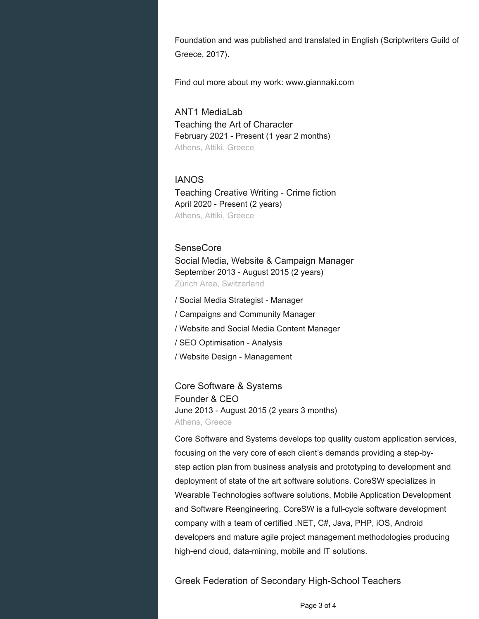Foundation and was published and translated in English (Scriptwriters Guild of Greece, 2017).

Find out more about my work: www.giannaki.com

ANT1 MediaLab Teaching the Art of Character February 2021 - Present (1 year 2 months) Athens, Attiki, Greece

#### IANOS

Teaching Creative Writing - Crime fiction April 2020 - Present (2 years) Athens, Attiki, Greece

#### SenseCore

Social Media, Website & Campaign Manager September 2013 - August 2015 (2 years) Zürich Area, Switzerland

/ Social Media Strategist - Manager / Campaigns and Community Manager / Website and Social Media Content Manager / SEO Optimisation - Analysis / Website Design - Management

Core Software & Systems Founder & CEO June 2013 - August 2015 (2 years 3 months) Athens, Greece

Core Software and Systems develops top quality custom application services, focusing on the very core of each client's demands providing a step-bystep action plan from business analysis and prototyping to development and deployment of state of the art software solutions. CoreSW specializes in Wearable Technologies software solutions, Mobile Application Development and Software Reengineering. CoreSW is a full-cycle software development company with a team of certified .NET, C#, Java, PHP, iOS, Android developers and mature agile project management methodologies producing high-end cloud, data-mining, mobile and IT solutions.

Greek Federation of Secondary High-School Teachers